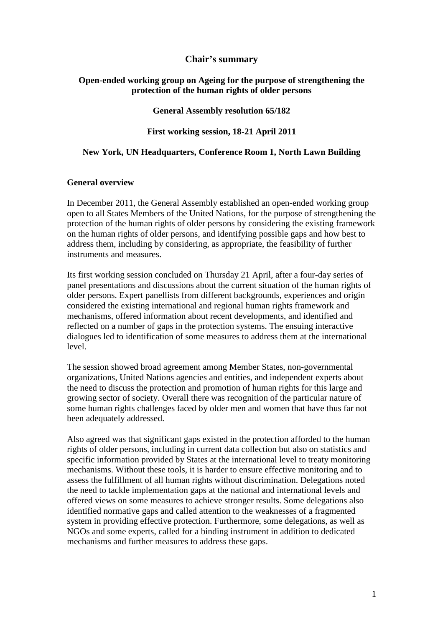### **Chair's summary**

#### **Open-ended working group on Ageing for the purpose of strengthening the protection of the human rights of older persons**

**General Assembly resolution 65/182** 

### **First working session, 18-21 April 2011**

#### **New York, UN Headquarters, Conference Room 1, North Lawn Building**

#### **General overview**

In December 2011, the General Assembly established an open-ended working group open to all States Members of the United Nations, for the purpose of strengthening the protection of the human rights of older persons by considering the existing framework on the human rights of older persons, and identifying possible gaps and how best to address them, including by considering, as appropriate, the feasibility of further instruments and measures.

Its first working session concluded on Thursday 21 April, after a four-day series of panel presentations and discussions about the current situation of the human rights of older persons. Expert panellists from different backgrounds, experiences and origin considered the existing international and regional human rights framework and mechanisms, offered information about recent developments, and identified and reflected on a number of gaps in the protection systems. The ensuing interactive dialogues led to identification of some measures to address them at the international level.

The session showed broad agreement among Member States, non-governmental organizations, United Nations agencies and entities, and independent experts about the need to discuss the protection and promotion of human rights for this large and growing sector of society. Overall there was recognition of the particular nature of some human rights challenges faced by older men and women that have thus far not been adequately addressed.

Also agreed was that significant gaps existed in the protection afforded to the human rights of older persons, including in current data collection but also on statistics and specific information provided by States at the international level to treaty monitoring mechanisms. Without these tools, it is harder to ensure effective monitoring and to assess the fulfillment of all human rights without discrimination. Delegations noted the need to tackle implementation gaps at the national and international levels and offered views on some measures to achieve stronger results. Some delegations also identified normative gaps and called attention to the weaknesses of a fragmented system in providing effective protection. Furthermore, some delegations, as well as NGOs and some experts, called for a binding instrument in addition to dedicated mechanisms and further measures to address these gaps.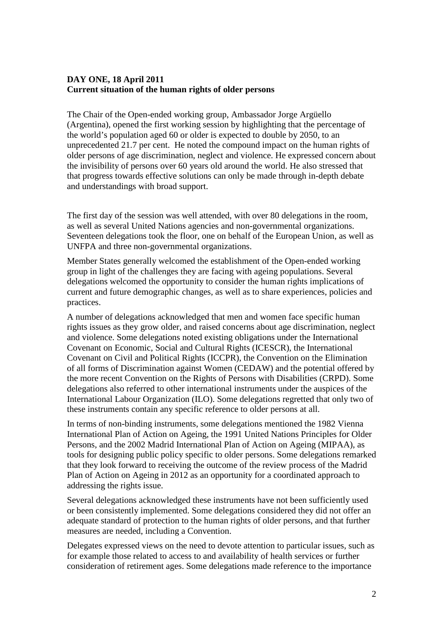# **DAY ONE, 18 April 2011 Current situation of the human rights of older persons**

The Chair of the Open-ended working group, Ambassador Jorge Argüello (Argentina), opened the first working session by highlighting that the percentage of the world's population aged 60 or older is expected to double by 2050, to an unprecedented 21.7 per cent. He noted the compound impact on the human rights of older persons of age discrimination, neglect and violence. He expressed concern about the invisibility of persons over 60 years old around the world. He also stressed that that progress towards effective solutions can only be made through in-depth debate and understandings with broad support.

The first day of the session was well attended, with over 80 delegations in the room, as well as several United Nations agencies and non-governmental organizations. Seventeen delegations took the floor, one on behalf of the European Union, as well as UNFPA and three non-governmental organizations.

Member States generally welcomed the establishment of the Open-ended working group in light of the challenges they are facing with ageing populations. Several delegations welcomed the opportunity to consider the human rights implications of current and future demographic changes, as well as to share experiences, policies and practices.

A number of delegations acknowledged that men and women face specific human rights issues as they grow older, and raised concerns about age discrimination, neglect and violence. Some delegations noted existing obligations under the International Covenant on Economic, Social and Cultural Rights (ICESCR), the International Covenant on Civil and Political Rights (ICCPR), the Convention on the Elimination of all forms of Discrimination against Women (CEDAW) and the potential offered by the more recent Convention on the Rights of Persons with Disabilities (CRPD). Some delegations also referred to other international instruments under the auspices of the International Labour Organization (ILO). Some delegations regretted that only two of these instruments contain any specific reference to older persons at all.

In terms of non-binding instruments, some delegations mentioned the 1982 Vienna International Plan of Action on Ageing, the 1991 United Nations Principles for Older Persons, and the 2002 Madrid International Plan of Action on Ageing (MIPAA), as tools for designing public policy specific to older persons. Some delegations remarked that they look forward to receiving the outcome of the review process of the Madrid Plan of Action on Ageing in 2012 as an opportunity for a coordinated approach to addressing the rights issue.

Several delegations acknowledged these instruments have not been sufficiently used or been consistently implemented. Some delegations considered they did not offer an adequate standard of protection to the human rights of older persons, and that further measures are needed, including a Convention.

Delegates expressed views on the need to devote attention to particular issues, such as for example those related to access to and availability of health services or further consideration of retirement ages. Some delegations made reference to the importance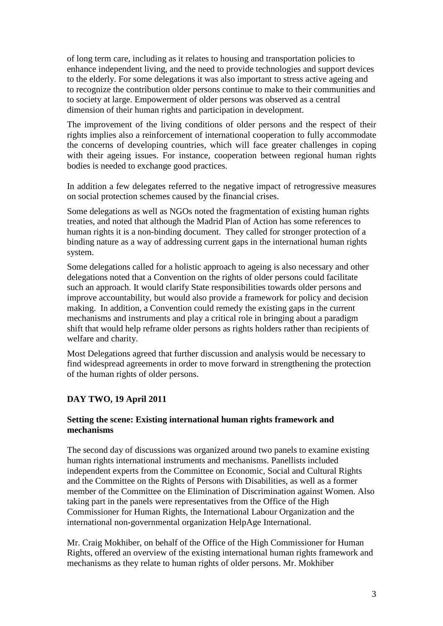of long term care, including as it relates to housing and transportation policies to enhance independent living, and the need to provide technologies and support devices to the elderly. For some delegations it was also important to stress active ageing and to recognize the contribution older persons continue to make to their communities and to society at large. Empowerment of older persons was observed as a central dimension of their human rights and participation in development.

The improvement of the living conditions of older persons and the respect of their rights implies also a reinforcement of international cooperation to fully accommodate the concerns of developing countries, which will face greater challenges in coping with their ageing issues. For instance, cooperation between regional human rights bodies is needed to exchange good practices.

In addition a few delegates referred to the negative impact of retrogressive measures on social protection schemes caused by the financial crises.

Some delegations as well as NGOs noted the fragmentation of existing human rights treaties, and noted that although the Madrid Plan of Action has some references to human rights it is a non-binding document. They called for stronger protection of a binding nature as a way of addressing current gaps in the international human rights system.

Some delegations called for a holistic approach to ageing is also necessary and other delegations noted that a Convention on the rights of older persons could facilitate such an approach. It would clarify State responsibilities towards older persons and improve accountability, but would also provide a framework for policy and decision making. In addition, a Convention could remedy the existing gaps in the current mechanisms and instruments and play a critical role in bringing about a paradigm shift that would help reframe older persons as rights holders rather than recipients of welfare and charity.

Most Delegations agreed that further discussion and analysis would be necessary to find widespread agreements in order to move forward in strengthening the protection of the human rights of older persons.

# **DAY TWO, 19 April 2011**

### **Setting the scene: Existing international human rights framework and mechanisms**

The second day of discussions was organized around two panels to examine existing human rights international instruments and mechanisms. Panellists included independent experts from the Committee on Economic, Social and Cultural Rights and the Committee on the Rights of Persons with Disabilities, as well as a former member of the Committee on the Elimination of Discrimination against Women. Also taking part in the panels were representatives from the Office of the High Commissioner for Human Rights, the International Labour Organization and the international non-governmental organization HelpAge International.

Mr. Craig Mokhiber, on behalf of the Office of the High Commissioner for Human Rights, offered an overview of the existing international human rights framework and mechanisms as they relate to human rights of older persons. Mr. Mokhiber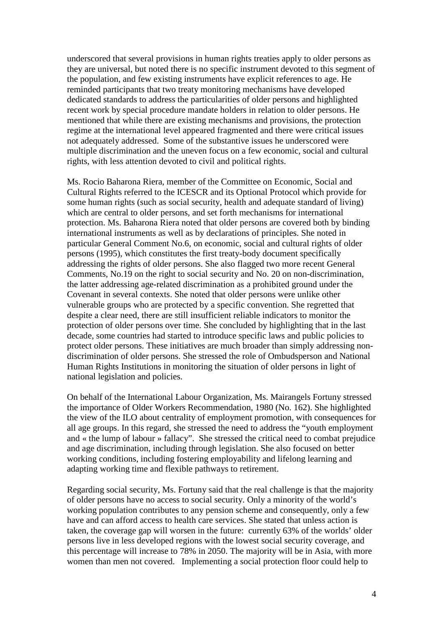underscored that several provisions in human rights treaties apply to older persons as they are universal, but noted there is no specific instrument devoted to this segment of the population, and few existing instruments have explicit references to age. He reminded participants that two treaty monitoring mechanisms have developed dedicated standards to address the particularities of older persons and highlighted recent work by special procedure mandate holders in relation to older persons. He mentioned that while there are existing mechanisms and provisions, the protection regime at the international level appeared fragmented and there were critical issues not adequately addressed. Some of the substantive issues he underscored were multiple discrimination and the uneven focus on a few economic, social and cultural rights, with less attention devoted to civil and political rights.

Ms. Rocio Baharona Riera, member of the Committee on Economic, Social and Cultural Rights referred to the ICESCR and its Optional Protocol which provide for some human rights (such as social security, health and adequate standard of living) which are central to older persons, and set forth mechanisms for international protection. Ms. Baharona Riera noted that older persons are covered both by binding international instruments as well as by declarations of principles. She noted in particular General Comment No.6, on economic, social and cultural rights of older persons (1995), which constitutes the first treaty-body document specifically addressing the rights of older persons. She also flagged two more recent General Comments, No.19 on the right to social security and No. 20 on non-discrimination, the latter addressing age-related discrimination as a prohibited ground under the Covenant in several contexts. She noted that older persons were unlike other vulnerable groups who are protected by a specific convention. She regretted that despite a clear need, there are still insufficient reliable indicators to monitor the protection of older persons over time. She concluded by highlighting that in the last decade, some countries had started to introduce specific laws and public policies to protect older persons. These initiatives are much broader than simply addressing nondiscrimination of older persons. She stressed the role of Ombudsperson and National Human Rights Institutions in monitoring the situation of older persons in light of national legislation and policies.

On behalf of the International Labour Organization, Ms. Mairangels Fortuny stressed the importance of Older Workers Recommendation, 1980 (No. 162). She highlighted the view of the ILO about centrality of employment promotion, with consequences for all age groups. In this regard, she stressed the need to address the "youth employment and « the lump of labour » fallacy". She stressed the critical need to combat prejudice and age discrimination, including through legislation. She also focused on better working conditions, including fostering employability and lifelong learning and adapting working time and flexible pathways to retirement.

Regarding social security, Ms. Fortuny said that the real challenge is that the majority of older persons have no access to social security. Only a minority of the world's working population contributes to any pension scheme and consequently, only a few have and can afford access to health care services. She stated that unless action is taken, the coverage gap will worsen in the future: currently 63% of the worlds' older persons live in less developed regions with the lowest social security coverage, and this percentage will increase to 78% in 2050. The majority will be in Asia, with more women than men not covered. Implementing a social protection floor could help to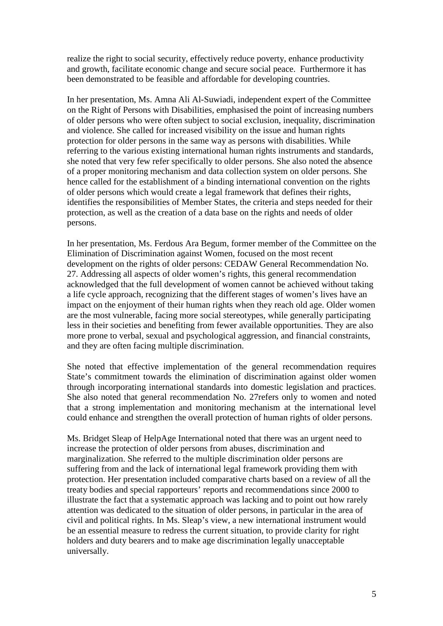realize the right to social security, effectively reduce poverty, enhance productivity and growth, facilitate economic change and secure social peace. Furthermore it has been demonstrated to be feasible and affordable for developing countries.

In her presentation, Ms. Amna Ali Al-Suwiadi, independent expert of the Committee on the Right of Persons with Disabilities, emphasised the point of increasing numbers of older persons who were often subject to social exclusion, inequality, discrimination and violence. She called for increased visibility on the issue and human rights protection for older persons in the same way as persons with disabilities. While referring to the various existing international human rights instruments and standards, she noted that very few refer specifically to older persons. She also noted the absence of a proper monitoring mechanism and data collection system on older persons. She hence called for the establishment of a binding international convention on the rights of older persons which would create a legal framework that defines their rights, identifies the responsibilities of Member States, the criteria and steps needed for their protection, as well as the creation of a data base on the rights and needs of older persons.

In her presentation, Ms. Ferdous Ara Begum, former member of the Committee on the Elimination of Discrimination against Women, focused on the most recent development on the rights of older persons: CEDAW General Recommendation No. 27. Addressing all aspects of older women's rights, this general recommendation acknowledged that the full development of women cannot be achieved without taking a life cycle approach, recognizing that the different stages of women's lives have an impact on the enjoyment of their human rights when they reach old age. Older women are the most vulnerable, facing more social stereotypes, while generally participating less in their societies and benefiting from fewer available opportunities. They are also more prone to verbal, sexual and psychological aggression, and financial constraints, and they are often facing multiple discrimination.

She noted that effective implementation of the general recommendation requires State's commitment towards the elimination of discrimination against older women through incorporating international standards into domestic legislation and practices. She also noted that general recommendation No. 27refers only to women and noted that a strong implementation and monitoring mechanism at the international level could enhance and strengthen the overall protection of human rights of older persons.

Ms. Bridget Sleap of HelpAge International noted that there was an urgent need to increase the protection of older persons from abuses, discrimination and marginalization. She referred to the multiple discrimination older persons are suffering from and the lack of international legal framework providing them with protection. Her presentation included comparative charts based on a review of all the treaty bodies and special rapporteurs' reports and recommendations since 2000 to illustrate the fact that a systematic approach was lacking and to point out how rarely attention was dedicated to the situation of older persons, in particular in the area of civil and political rights. In Ms. Sleap's view, a new international instrument would be an essential measure to redress the current situation, to provide clarity for right holders and duty bearers and to make age discrimination legally unacceptable universally.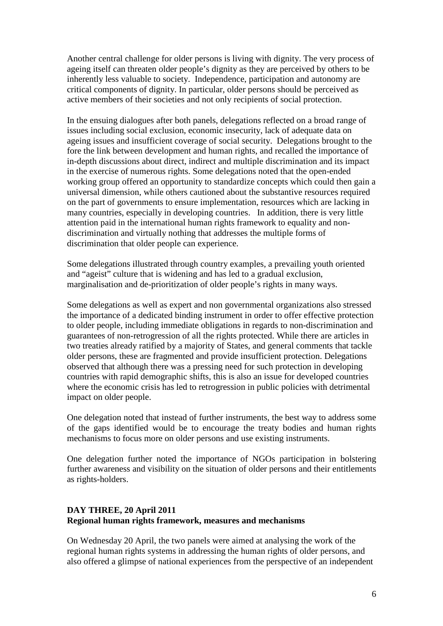Another central challenge for older persons is living with dignity. The very process of ageing itself can threaten older people's dignity as they are perceived by others to be inherently less valuable to society. Independence, participation and autonomy are critical components of dignity. In particular, older persons should be perceived as active members of their societies and not only recipients of social protection.

In the ensuing dialogues after both panels, delegations reflected on a broad range of issues including social exclusion, economic insecurity, lack of adequate data on ageing issues and insufficient coverage of social security. Delegations brought to the fore the link between development and human rights, and recalled the importance of in-depth discussions about direct, indirect and multiple discrimination and its impact in the exercise of numerous rights. Some delegations noted that the open-ended working group offered an opportunity to standardize concepts which could then gain a universal dimension, while others cautioned about the substantive resources required on the part of governments to ensure implementation, resources which are lacking in many countries, especially in developing countries. In addition, there is very little attention paid in the international human rights framework to equality and nondiscrimination and virtually nothing that addresses the multiple forms of discrimination that older people can experience.

Some delegations illustrated through country examples, a prevailing youth oriented and "ageist" culture that is widening and has led to a gradual exclusion, marginalisation and de-prioritization of older people's rights in many ways.

Some delegations as well as expert and non governmental organizations also stressed the importance of a dedicated binding instrument in order to offer effective protection to older people, including immediate obligations in regards to non-discrimination and guarantees of non-retrogression of all the rights protected. While there are articles in two treaties already ratified by a majority of States, and general comments that tackle older persons, these are fragmented and provide insufficient protection. Delegations observed that although there was a pressing need for such protection in developing countries with rapid demographic shifts, this is also an issue for developed countries where the economic crisis has led to retrogression in public policies with detrimental impact on older people.

One delegation noted that instead of further instruments, the best way to address some of the gaps identified would be to encourage the treaty bodies and human rights mechanisms to focus more on older persons and use existing instruments.

One delegation further noted the importance of NGOs participation in bolstering further awareness and visibility on the situation of older persons and their entitlements as rights-holders.

# **DAY THREE, 20 April 2011 Regional human rights framework, measures and mechanisms**

On Wednesday 20 April, the two panels were aimed at analysing the work of the regional human rights systems in addressing the human rights of older persons, and also offered a glimpse of national experiences from the perspective of an independent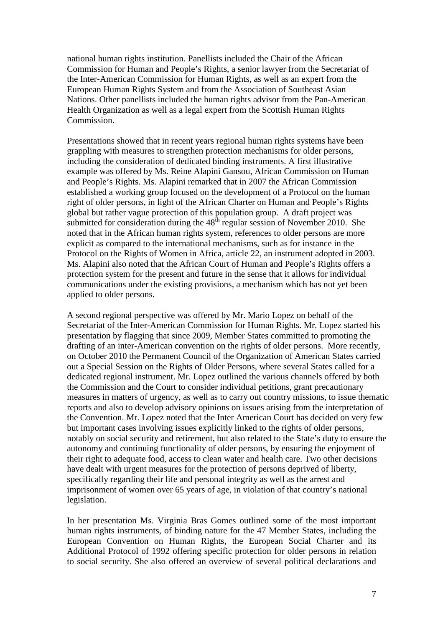national human rights institution. Panellists included the Chair of the African Commission for Human and People's Rights, a senior lawyer from the Secretariat of the Inter-American Commission for Human Rights, as well as an expert from the European Human Rights System and from the Association of Southeast Asian Nations. Other panellists included the human rights advisor from the Pan-American Health Organization as well as a legal expert from the Scottish Human Rights Commission.

Presentations showed that in recent years regional human rights systems have been grappling with measures to strengthen protection mechanisms for older persons, including the consideration of dedicated binding instruments. A first illustrative example was offered by Ms. Reine Alapini Gansou, African Commission on Human and People's Rights. Ms. Alapini remarked that in 2007 the African Commission established a working group focused on the development of a Protocol on the human right of older persons, in light of the African Charter on Human and People's Rights global but rather vague protection of this population group. A draft project was submitted for consideration during the  $48<sup>th</sup>$  regular session of November 2010. She noted that in the African human rights system, references to older persons are more explicit as compared to the international mechanisms, such as for instance in the Protocol on the Rights of Women in Africa, article 22, an instrument adopted in 2003. Ms. Alapini also noted that the African Court of Human and People's Rights offers a protection system for the present and future in the sense that it allows for individual communications under the existing provisions, a mechanism which has not yet been applied to older persons.

A second regional perspective was offered by Mr. Mario Lopez on behalf of the Secretariat of the Inter-American Commission for Human Rights. Mr. Lopez started his presentation by flagging that since 2009, Member States committed to promoting the drafting of an inter-American convention on the rights of older persons. More recently, on October 2010 the Permanent Council of the Organization of American States carried out a Special Session on the Rights of Older Persons, where several States called for a dedicated regional instrument. Mr. Lopez outlined the various channels offered by both the Commission and the Court to consider individual petitions, grant precautionary measures in matters of urgency, as well as to carry out country missions, to issue thematic reports and also to develop advisory opinions on issues arising from the interpretation of the Convention. Mr. Lopez noted that the Inter American Court has decided on very few but important cases involving issues explicitly linked to the rights of older persons, notably on social security and retirement, but also related to the State's duty to ensure the autonomy and continuing functionality of older persons, by ensuring the enjoyment of their right to adequate food, access to clean water and health care. Two other decisions have dealt with urgent measures for the protection of persons deprived of liberty, specifically regarding their life and personal integrity as well as the arrest and imprisonment of women over 65 years of age, in violation of that country's national legislation.

In her presentation Ms. Virginia Bras Gomes outlined some of the most important human rights instruments, of binding nature for the 47 Member States, including the European Convention on Human Rights, the European Social Charter and its Additional Protocol of 1992 offering specific protection for older persons in relation to social security. She also offered an overview of several political declarations and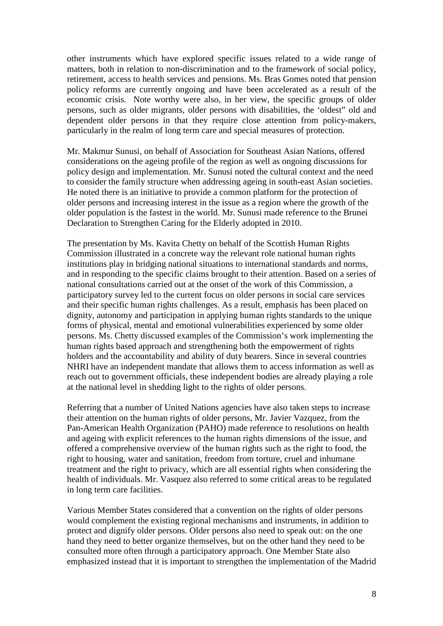other instruments which have explored specific issues related to a wide range of matters, both in relation to non-discrimination and to the framework of social policy, retirement, access to health services and pensions. Ms. Bras Gomes noted that pension policy reforms are currently ongoing and have been accelerated as a result of the economic crisis. Note worthy were also, in her view, the specific groups of older persons, such as older migrants, older persons with disabilities, the 'oldest" old and dependent older persons in that they require close attention from policy-makers, particularly in the realm of long term care and special measures of protection.

Mr. Makmur Sunusi, on behalf of Association for Southeast Asian Nations, offered considerations on the ageing profile of the region as well as ongoing discussions for policy design and implementation. Mr. Sunusi noted the cultural context and the need to consider the family structure when addressing ageing in south-east Asian societies. He noted there is an initiative to provide a common platform for the protection of older persons and increasing interest in the issue as a region where the growth of the older population is the fastest in the world. Mr. Sunusi made reference to the Brunei Declaration to Strengthen Caring for the Elderly adopted in 2010.

The presentation by Ms. Kavita Chetty on behalf of the Scottish Human Rights Commission illustrated in a concrete way the relevant role national human rights institutions play in bridging national situations to international standards and norms, and in responding to the specific claims brought to their attention. Based on a series of national consultations carried out at the onset of the work of this Commission, a participatory survey led to the current focus on older persons in social care services and their specific human rights challenges. As a result, emphasis has been placed on dignity, autonomy and participation in applying human rights standards to the unique forms of physical, mental and emotional vulnerabilities experienced by some older persons. Ms. Chetty discussed examples of the Commission's work implementing the human rights based approach and strengthening both the empowerment of rights holders and the accountability and ability of duty bearers. Since in several countries NHRI have an independent mandate that allows them to access information as well as reach out to government officials, these independent bodies are already playing a role at the national level in shedding light to the rights of older persons.

Referring that a number of United Nations agencies have also taken steps to increase their attention on the human rights of older persons, Mr. Javier Vazquez, from the Pan-American Health Organization (PAHO) made reference to resolutions on health and ageing with explicit references to the human rights dimensions of the issue, and offered a comprehensive overview of the human rights such as the right to food, the right to housing, water and sanitation, freedom from torture, cruel and inhumane treatment and the right to privacy, which are all essential rights when considering the health of individuals. Mr. Vasquez also referred to some critical areas to be regulated in long term care facilities.

Various Member States considered that a convention on the rights of older persons would complement the existing regional mechanisms and instruments, in addition to protect and dignify older persons. Older persons also need to speak out: on the one hand they need to better organize themselves, but on the other hand they need to be consulted more often through a participatory approach. One Member State also emphasized instead that it is important to strengthen the implementation of the Madrid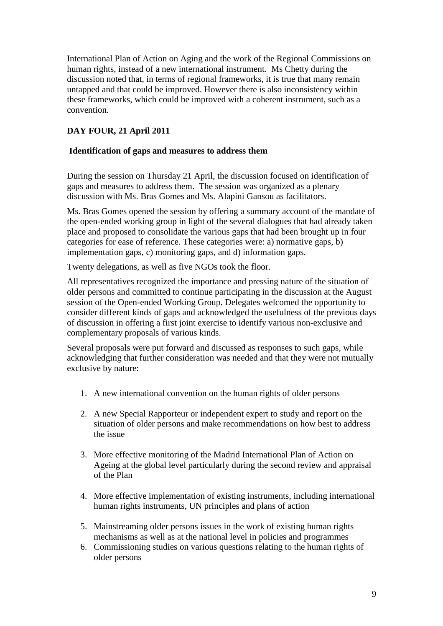International Plan of Action on Aging and the work of the Regional Commissions on human rights, instead of a new international instrument. Ms Chetty during the discussion noted that, in terms of regional frameworks, it is true that many remain untapped and that could be improved. However there is also inconsistency within these frameworks, which could be improved with a coherent instrument, such as a convention.

# **DAY FOUR, 21 April 2011**

### **Identification of gaps and measures to address them**

During the session on Thursday 21 April, the discussion focused on identification of gaps and measures to address them. The session was organized as a plenary discussion with Ms. Bras Gomes and Ms. Alapini Gansou as facilitators.

Ms. Bras Gomes opened the session by offering a summary account of the mandate of the open-ended working group in light of the several dialogues that had already taken place and proposed to consolidate the various gaps that had been brought up in four categories for ease of reference. These categories were: a) normative gaps, b) implementation gaps, c) monitoring gaps, and d) information gaps.

Twenty delegations, as well as five NGOs took the floor.

All representatives recognized the importance and pressing nature of the situation of older persons and committed to continue participating in the discussion at the August session of the Open-ended Working Group. Delegates welcomed the opportunity to consider different kinds of gaps and acknowledged the usefulness of the previous days of discussion in offering a first joint exercise to identify various non-exclusive and complementary proposals of various kinds.

Several proposals were put forward and discussed as responses to such gaps, while acknowledging that further consideration was needed and that they were not mutually exclusive by nature:

- 1. A new international convention on the human rights of older persons
- 2. A new Special Rapporteur or independent expert to study and report on the situation of older persons and make recommendations on how best to address the issue
- 3. More effective monitoring of the Madrid International Plan of Action on Ageing at the global level particularly during the second review and appraisal of the Plan
- 4. More effective implementation of existing instruments, including international human rights instruments, UN principles and plans of action
- 5. Mainstreaming older persons issues in the work of existing human rights mechanisms as well as at the national level in policies and programmes
- 6. Commissioning studies on various questions relating to the human rights of older persons